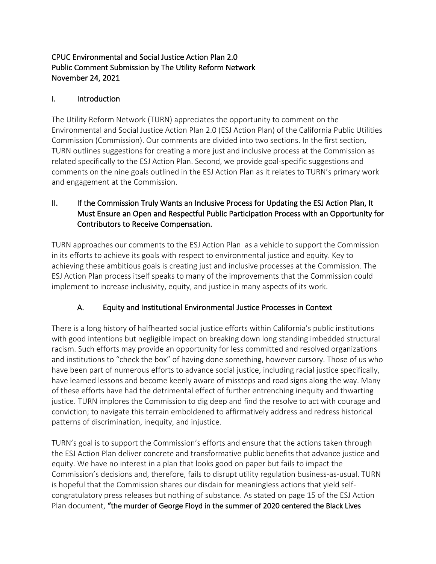## CPUC Environmental and Social Justice Action Plan 2.0 Public Comment Submission by The Utility Reform Network November 24, 2021

### I. Introduction

The Utility Reform Network (TURN) appreciates the opportunity to comment on the Environmental and Social Justice Action Plan 2.0 (ESJ Action Plan) of the California Public Utilities Commission (Commission). Our comments are divided into two sections. In the first section, TURN outlines suggestions for creating a more just and inclusive process at the Commission as related specifically to the ESJ Action Plan. Second, we provide goal-specific suggestions and comments on the nine goals outlined in the ESJ Action Plan as it relates to TURN's primary work and engagement at the Commission.

## II. If the Commission Truly Wants an Inclusive Process for Updating the ESJ Action Plan, It Must Ensure an Open and Respectful Public Participation Process with an Opportunity for Contributors to Receive Compensation.

TURN approaches our comments to the ESJ Action Plan as a vehicle to support the Commission in its efforts to achieve its goals with respect to environmental justice and equity. Key to achieving these ambitious goals is creating just and inclusive processes at the Commission. The ESJ Action Plan process itself speaks to many of the improvements that the Commission could implement to increase inclusivity, equity, and justice in many aspects of its work.

# A. Equity and Institutional Environmental Justice Processes in Context

There is a long history of halfhearted social justice efforts within California's public institutions with good intentions but negligible impact on breaking down long standing imbedded structural racism. Such efforts may provide an opportunity for less committed and resolved organizations and institutions to "check the box" of having done something, however cursory. Those of us who have been part of numerous efforts to advance social justice, including racial justice specifically, have learned lessons and become keenly aware of missteps and road signs along the way. Many of these efforts have had the detrimental effect of further entrenching inequity and thwarting justice. TURN implores the Commission to dig deep and find the resolve to act with courage and conviction; to navigate this terrain emboldened to affirmatively address and redress historical patterns of discrimination, inequity, and injustice.

TURN's goal is to support the Commission's efforts and ensure that the actions taken through the ESJ Action Plan deliver concrete and transformative public benefits that advance justice and equity. We have no interest in a plan that looks good on paper but fails to impact the Commission's decisions and, therefore, fails to disrupt utility regulation business-as-usual. TURN is hopeful that the Commission shares our disdain for meaningless actions that yield selfcongratulatory press releases but nothing of substance. As stated on page 15 of the ESJ Action Plan document, "the murder of George Floyd in the summer of 2020 centered the Black Lives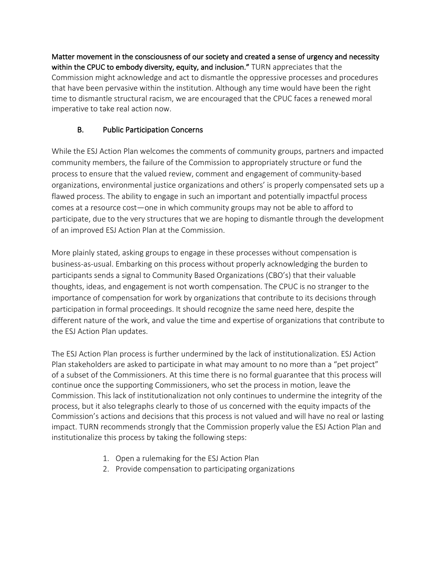Matter movement in the consciousness of our society and created a sense of urgency and necessity within the CPUC to embody diversity, equity, and inclusion." TURN appreciates that the Commission might acknowledge and act to dismantle the oppressive processes and procedures that have been pervasive within the institution. Although any time would have been the right time to dismantle structural racism, we are encouraged that the CPUC faces a renewed moral imperative to take real action now.

# B. Public Participation Concerns

While the ESJ Action Plan welcomes the comments of community groups, partners and impacted community members, the failure of the Commission to appropriately structure or fund the process to ensure that the valued review, comment and engagement of community-based organizations, environmental justice organizations and others' is properly compensated sets up a flawed process. The ability to engage in such an important and potentially impactful process comes at a resource cost—one in which community groups may not be able to afford to participate, due to the very structures that we are hoping to dismantle through the development of an improved ESJ Action Plan at the Commission.

More plainly stated, asking groups to engage in these processes without compensation is business-as-usual. Embarking on this process without properly acknowledging the burden to participants sends a signal to Community Based Organizations (CBO's) that their valuable thoughts, ideas, and engagement is not worth compensation. The CPUC is no stranger to the importance of compensation for work by organizations that contribute to its decisions through participation in formal proceedings. It should recognize the same need here, despite the different nature of the work, and value the time and expertise of organizations that contribute to the ESJ Action Plan updates.

The ESJ Action Plan process is further undermined by the lack of institutionalization. ESJ Action Plan stakeholders are asked to participate in what may amount to no more than a "pet project" of a subset of the Commissioners. At this time there is no formal guarantee that this process will continue once the supporting Commissioners, who set the process in motion, leave the Commission. This lack of institutionalization not only continues to undermine the integrity of the process, but it also telegraphs clearly to those of us concerned with the equity impacts of the Commission's actions and decisions that this process is not valued and will have no real or lasting impact. TURN recommends strongly that the Commission properly value the ESJ Action Plan and institutionalize this process by taking the following steps:

- 1. Open a rulemaking for the ESJ Action Plan
- 2. Provide compensation to participating organizations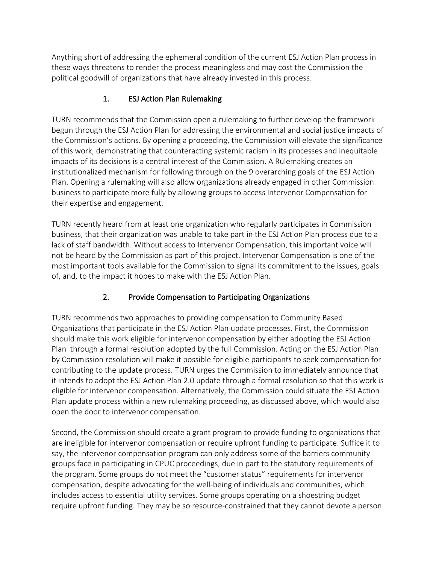Anything short of addressing the ephemeral condition of the current ESJ Action Plan process in these ways threatens to render the process meaningless and may cost the Commission the political goodwill of organizations that have already invested in this process.

# 1. ESJ Action Plan Rulemaking

TURN recommends that the Commission open a rulemaking to further develop the framework begun through the ESJ Action Plan for addressing the environmental and social justice impacts of the Commission's actions. By opening a proceeding, the Commission will elevate the significance of this work, demonstrating that counteracting systemic racism in its processes and inequitable impacts of its decisions is a central interest of the Commission. A Rulemaking creates an institutionalized mechanism for following through on the 9 overarching goals of the ESJ Action Plan. Opening a rulemaking will also allow organizations already engaged in other Commission business to participate more fully by allowing groups to access Intervenor Compensation for their expertise and engagement.

TURN recently heard from at least one organization who regularly participates in Commission business, that their organization was unable to take part in the ESJ Action Plan process due to a lack of staff bandwidth. Without access to Intervenor Compensation, this important voice will not be heard by the Commission as part of this project. Intervenor Compensation is one of the most important tools available for the Commission to signal its commitment to the issues, goals of, and, to the impact it hopes to make with the ESJ Action Plan.

# 2. Provide Compensation to Participating Organizations

TURN recommends two approaches to providing compensation to Community Based Organizations that participate in the ESJ Action Plan update processes. First, the Commission should make this work eligible for intervenor compensation by either adopting the ESJ Action Plan through a formal resolution adopted by the full Commission. Acting on the ESJ Action Plan by Commission resolution will make it possible for eligible participants to seek compensation for contributing to the update process. TURN urges the Commission to immediately announce that it intends to adopt the ESJ Action Plan 2.0 update through a formal resolution so that this work is eligible for intervenor compensation. Alternatively, the Commission could situate the ESJ Action Plan update process within a new rulemaking proceeding, as discussed above, which would also open the door to intervenor compensation.

Second, the Commission should create a grant program to provide funding to organizations that are ineligible for intervenor compensation or require upfront funding to participate. Suffice it to say, the intervenor compensation program can only address some of the barriers community groups face in participating in CPUC proceedings, due in part to the statutory requirements of the program. Some groups do not meet the "customer status" requirements for intervenor compensation, despite advocating for the well-being of individuals and communities, which includes access to essential utility services. Some groups operating on a shoestring budget require upfront funding. They may be so resource-constrained that they cannot devote a person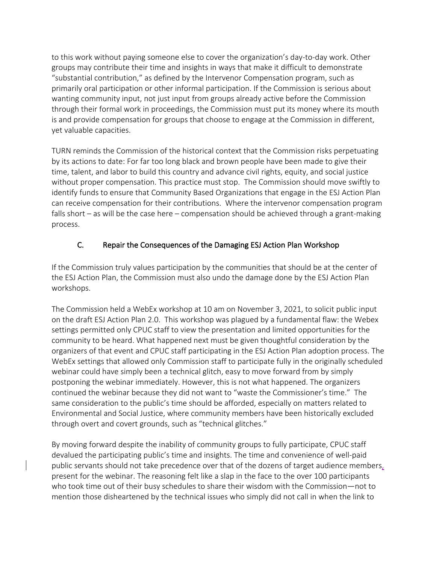to this work without paying someone else to cover the organization's day-to-day work. Other groups may contribute their time and insights in ways that make it difficult to demonstrate "substantial contribution," as defined by the Intervenor Compensation program, such as primarily oral participation or other informal participation. If the Commission is serious about wanting community input, not just input from groups already active before the Commission through their formal work in proceedings, the Commission must put its money where its mouth is and provide compensation for groups that choose to engage at the Commission in different, yet valuable capacities.

TURN reminds the Commission of the historical context that the Commission risks perpetuating by its actions to date: For far too long black and brown people have been made to give their time, talent, and labor to build this country and advance civil rights, equity, and social justice without proper compensation. This practice must stop. The Commission should move swiftly to identify funds to ensure that Community Based Organizations that engage in the ESJ Action Plan can receive compensation for their contributions. Where the intervenor compensation program falls short – as will be the case here – compensation should be achieved through a grant-making process.

## C. Repair the Consequences of the Damaging ESJ Action Plan Workshop

If the Commission truly values participation by the communities that should be at the center of the ESJ Action Plan, the Commission must also undo the damage done by the ESJ Action Plan workshops.

The Commission held a WebEx workshop at 10 am on November 3, 2021, to solicit public input on the draft ESJ Action Plan 2.0. This workshop was plagued by a fundamental flaw: the Webex settings permitted only CPUC staff to view the presentation and limited opportunities for the community to be heard. What happened next must be given thoughtful consideration by the organizers of that event and CPUC staff participating in the ESJ Action Plan adoption process. The WebEx settings that allowed only Commission staff to participate fully in the originally scheduled webinar could have simply been a technical glitch, easy to move forward from by simply postponing the webinar immediately. However, this is not what happened. The organizers continued the webinar because they did not want to "waste the Commissioner's time." The same consideration to the public's time should be afforded, especially on matters related to Environmental and Social Justice, where community members have been historically excluded through overt and covert grounds, such as "technical glitches."

By moving forward despite the inability of community groups to fully participate, CPUC staff devalued the participating public's time and insights. The time and convenience of well-paid public servants should not take precedence over that of the dozens of target audience members, present for the webinar. The reasoning felt like a slap in the face to the over 100 participants who took time out of their busy schedules to share their wisdom with the Commission—not to mention those disheartened by the technical issues who simply did not call in when the link to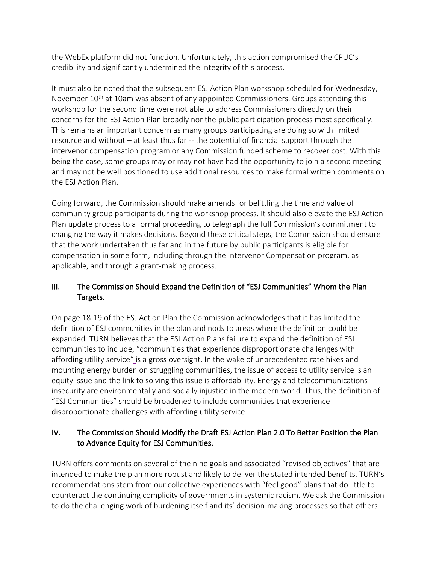the WebEx platform did not function. Unfortunately, this action compromised the CPUC's credibility and significantly undermined the integrity of this process.

It must also be noted that the subsequent ESJ Action Plan workshop scheduled for Wednesday, November  $10<sup>th</sup>$  at 10am was absent of any appointed Commissioners. Groups attending this workshop for the second time were not able to address Commissioners directly on their concerns for the ESJ Action Plan broadly nor the public participation process most specifically. This remains an important concern as many groups participating are doing so with limited resource and without – at least thus far -- the potential of financial support through the intervenor compensation program or any Commission funded scheme to recover cost. With this being the case, some groups may or may not have had the opportunity to join a second meeting and may not be well positioned to use additional resources to make formal written comments on the ESJ Action Plan.

Going forward, the Commission should make amends for belittling the time and value of community group participants during the workshop process. It should also elevate the ESJ Action Plan update process to a formal proceeding to telegraph the full Commission's commitment to changing the way it makes decisions. Beyond these critical steps, the Commission should ensure that the work undertaken thus far and in the future by public participants is eligible for compensation in some form, including through the Intervenor Compensation program, as applicable, and through a grant-making process.

## III. The Commission Should Expand the Definition of "ESJ Communities" Whom the Plan Targets.

On page 18-19 of the ESJ Action Plan the Commission acknowledges that it has limited the definition of ESJ communities in the plan and nods to areas where the definition could be expanded. TURN believes that the ESJ Action Plans failure to expand the definition of ESJ communities to include, "communities that experience disproportionate challenges with affording utility service" is a gross oversight. In the wake of unprecedented rate hikes and mounting energy burden on struggling communities, the issue of access to utility service is an equity issue and the link to solving this issue is affordability. Energy and telecommunications insecurity are environmentally and socially injustice in the modern world. Thus, the definition of "ESJ Communities" should be broadened to include communities that experience disproportionate challenges with affording utility service.

## IV. The Commission Should Modify the Draft ESJ Action Plan 2.0 To Better Position the Plan to Advance Equity for ESJ Communities.

TURN offers comments on several of the nine goals and associated "revised objectives" that are intended to make the plan more robust and likely to deliver the stated intended benefits. TURN's recommendations stem from our collective experiences with "feel good" plans that do little to counteract the continuing complicity of governments in systemic racism. We ask the Commission to do the challenging work of burdening itself and its' decision-making processes so that others –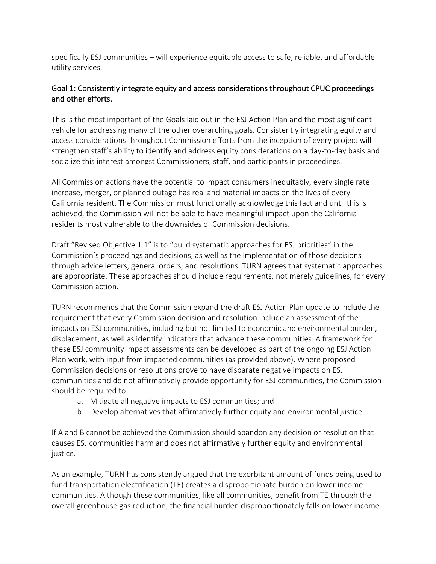specifically ESJ communities – will experience equitable access to safe, reliable, and affordable utility services.

### Goal 1: Consistently integrate equity and access considerations throughout CPUC proceedings and other efforts.

This is the most important of the Goals laid out in the ESJ Action Plan and the most significant vehicle for addressing many of the other overarching goals. Consistently integrating equity and access considerations throughout Commission efforts from the inception of every project will strengthen staff's ability to identify and address equity considerations on a day-to-day basis and socialize this interest amongst Commissioners, staff, and participants in proceedings.

All Commission actions have the potential to impact consumers inequitably, every single rate increase, merger, or planned outage has real and material impacts on the lives of every California resident. The Commission must functionally acknowledge this fact and until this is achieved, the Commission will not be able to have meaningful impact upon the California residents most vulnerable to the downsides of Commission decisions.

Draft "Revised Objective 1.1" is to "build systematic approaches for ESJ priorities" in the Commission's proceedings and decisions, as well as the implementation of those decisions through advice letters, general orders, and resolutions. TURN agrees that systematic approaches are appropriate. These approaches should include requirements, not merely guidelines, for every Commission action.

TURN recommends that the Commission expand the draft ESJ Action Plan update to include the requirement that every Commission decision and resolution include an assessment of the impacts on ESJ communities, including but not limited to economic and environmental burden, displacement, as well as identify indicators that advance these communities. A framework for these ESJ community impact assessments can be developed as part of the ongoing ESJ Action Plan work, with input from impacted communities (as provided above). Where proposed Commission decisions or resolutions prove to have disparate negative impacts on ESJ communities and do not affirmatively provide opportunity for ESJ communities, the Commission should be required to:

- a. Mitigate all negative impacts to ESJ communities; and
- b. Develop alternatives that affirmatively further equity and environmental justice.

If A and B cannot be achieved the Commission should abandon any decision or resolution that causes ESJ communities harm and does not affirmatively further equity and environmental justice.

As an example, TURN has consistently argued that the exorbitant amount of funds being used to fund transportation electrification (TE) creates a disproportionate burden on lower income communities. Although these communities, like all communities, benefit from TE through the overall greenhouse gas reduction, the financial burden disproportionately falls on lower income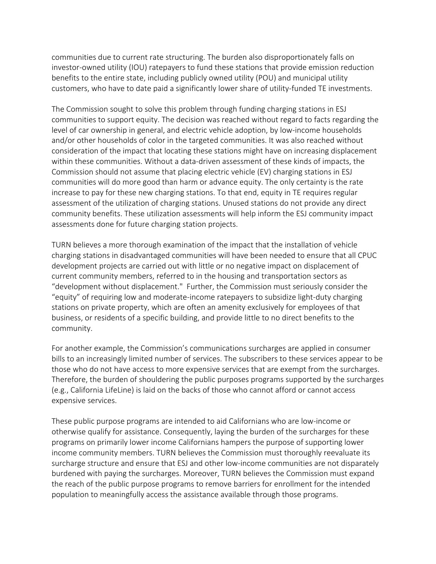communities due to current rate structuring. The burden also disproportionately falls on investor-owned utility (IOU) ratepayers to fund these stations that provide emission reduction benefits to the entire state, including publicly owned utility (POU) and municipal utility customers, who have to date paid a significantly lower share of utility-funded TE investments.

The Commission sought to solve this problem through funding charging stations in ESJ communities to support equity. The decision was reached without regard to facts regarding the level of car ownership in general, and electric vehicle adoption, by low-income households and/or other households of color in the targeted communities. It was also reached without consideration of the impact that locating these stations might have on increasing displacement within these communities. Without a data-driven assessment of these kinds of impacts, the Commission should not assume that placing electric vehicle (EV) charging stations in ESJ communities will do more good than harm or advance equity. The only certainty is the rate increase to pay for these new charging stations. To that end, equity in TE requires regular assessment of the utilization of charging stations. Unused stations do not provide any direct community benefits. These utilization assessments will help inform the ESJ community impact assessments done for future charging station projects.

TURN believes a more thorough examination of the impact that the installation of vehicle charging stations in disadvantaged communities will have been needed to ensure that all CPUC development projects are carried out with little or no negative impact on displacement of current community members, referred to in the housing and transportation sectors as "development without displacement." Further, the Commission must seriously consider the "equity" of requiring low and moderate-income ratepayers to subsidize light-duty charging stations on private property, which are often an amenity exclusively for employees of that business, or residents of a specific building, and provide little to no direct benefits to the community.

For another example, the Commission's communications surcharges are applied in consumer bills to an increasingly limited number of services. The subscribers to these services appear to be those who do not have access to more expensive services that are exempt from the surcharges. Therefore, the burden of shouldering the public purposes programs supported by the surcharges (e.g., California LifeLine) is laid on the backs of those who cannot afford or cannot access expensive services.

These public purpose programs are intended to aid Californians who are low-income or otherwise qualify for assistance. Consequently, laying the burden of the surcharges for these programs on primarily lower income Californians hampers the purpose of supporting lower income community members. TURN believes the Commission must thoroughly reevaluate its surcharge structure and ensure that ESJ and other low-income communities are not disparately burdened with paying the surcharges. Moreover, TURN believes the Commission must expand the reach of the public purpose programs to remove barriers for enrollment for the intended population to meaningfully access the assistance available through those programs.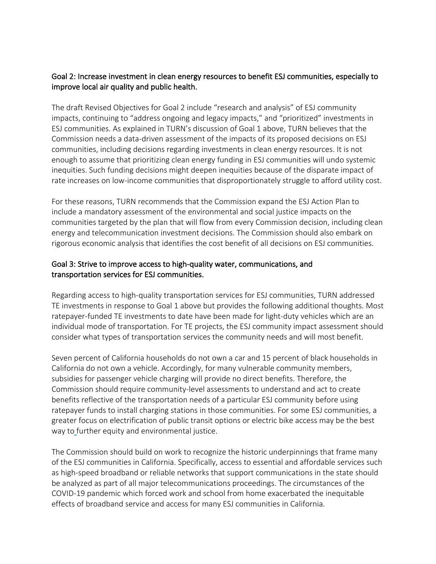#### Goal 2: Increase investment in clean energy resources to benefit ESJ communities, especially to improve local air quality and public health.

The draft Revised Objectives for Goal 2 include "research and analysis" of ESJ community impacts, continuing to "address ongoing and legacy impacts," and "prioritized" investments in ESJ communities. As explained in TURN's discussion of Goal 1 above, TURN believes that the Commission needs a data-driven assessment of the impacts of its proposed decisions on ESJ communities, including decisions regarding investments in clean energy resources. It is not enough to assume that prioritizing clean energy funding in ESJ communities will undo systemic inequities. Such funding decisions might deepen inequities because of the disparate impact of rate increases on low-income communities that disproportionately struggle to afford utility cost.

For these reasons, TURN recommends that the Commission expand the ESJ Action Plan to include a mandatory assessment of the environmental and social justice impacts on the communities targeted by the plan that will flow from every Commission decision, including clean energy and telecommunication investment decisions. The Commission should also embark on rigorous economic analysis that identifies the cost benefit of all decisions on ESJ communities.

### Goal 3: Strive to improve access to high-quality water, communications, and transportation services for ESJ communities.

Regarding access to high-quality transportation services for ESJ communities, TURN addressed TE investments in response to Goal 1 above but provides the following additional thoughts. Most ratepayer-funded TE investments to date have been made for light-duty vehicles which are an individual mode of transportation. For TE projects, the ESJ community impact assessment should consider what types of transportation services the community needs and will most benefit.

Seven percent of California households do not own a car and 15 percent of black households in California do not own a vehicle. Accordingly, for many vulnerable community members, subsidies for passenger vehicle charging will provide no direct benefits. Therefore, the Commission should require community-level assessments to understand and act to create benefits reflective of the transportation needs of a particular ESJ community before using ratepayer funds to install charging stations in those communities. For some ESJ communities, a greater focus on electrification of public transit options or electric bike access may be the best way to further equity and environmental justice.

The Commission should build on work to recognize the historic underpinnings that frame many of the ESJ communities in California. Specifically, access to essential and affordable services such as high-speed broadband or reliable networks that support communications in the state should be analyzed as part of all major telecommunications proceedings. The circumstances of the COVID-19 pandemic which forced work and school from home exacerbated the inequitable effects of broadband service and access for many ESJ communities in California.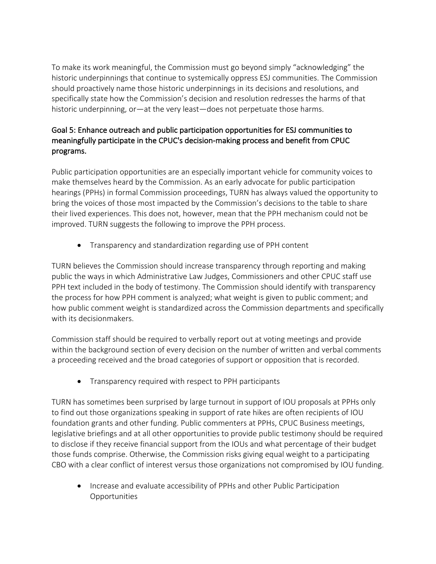To make its work meaningful, the Commission must go beyond simply "acknowledging" the historic underpinnings that continue to systemically oppress ESJ communities. The Commission should proactively name those historic underpinnings in its decisions and resolutions, and specifically state how the Commission's decision and resolution redresses the harms of that historic underpinning, or—at the very least—does not perpetuate those harms.

## Goal 5: Enhance outreach and public participation opportunities for ESJ communities to meaningfully participate in the CPUC's decision-making process and benefit from CPUC programs.

Public participation opportunities are an especially important vehicle for community voices to make themselves heard by the Commission. As an early advocate for public participation hearings (PPHs) in formal Commission proceedings, TURN has always valued the opportunity to bring the voices of those most impacted by the Commission's decisions to the table to share their lived experiences. This does not, however, mean that the PPH mechanism could not be improved. TURN suggests the following to improve the PPH process.

• Transparency and standardization regarding use of PPH content

TURN believes the Commission should increase transparency through reporting and making public the ways in which Administrative Law Judges, Commissioners and other CPUC staff use PPH text included in the body of testimony. The Commission should identify with transparency the process for how PPH comment is analyzed; what weight is given to public comment; and how public comment weight is standardized across the Commission departments and specifically with its decisionmakers.

Commission staff should be required to verbally report out at voting meetings and provide within the background section of every decision on the number of written and verbal comments a proceeding received and the broad categories of support or opposition that is recorded.

• Transparency required with respect to PPH participants

TURN has sometimes been surprised by large turnout in support of IOU proposals at PPHs only to find out those organizations speaking in support of rate hikes are often recipients of IOU foundation grants and other funding. Public commenters at PPHs, CPUC Business meetings, legislative briefings and at all other opportunities to provide public testimony should be required to disclose if they receive financial support from the IOUs and what percentage of their budget those funds comprise. Otherwise, the Commission risks giving equal weight to a participating CBO with a clear conflict of interest versus those organizations not compromised by IOU funding.

• Increase and evaluate accessibility of PPHs and other Public Participation Opportunities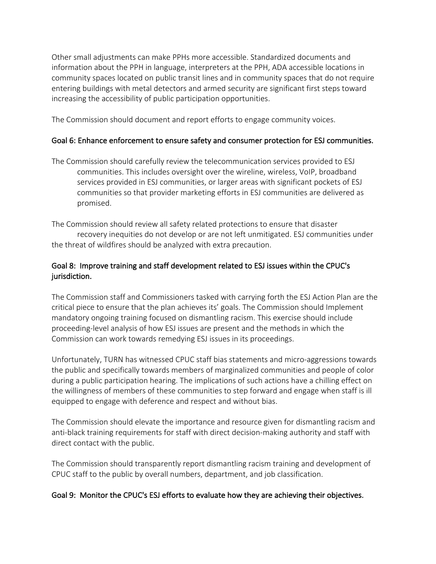Other small adjustments can make PPHs more accessible. Standardized documents and information about the PPH in language, interpreters at the PPH, ADA accessible locations in community spaces located on public transit lines and in community spaces that do not require entering buildings with metal detectors and armed security are significant first steps toward increasing the accessibility of public participation opportunities.

The Commission should document and report efforts to engage community voices.

#### Goal 6: Enhance enforcement to ensure safety and consumer protection for ESJ communities.

The Commission should carefully review the telecommunication services provided to ESJ communities. This includes oversight over the wireline, wireless, VoIP, broadband services provided in ESJ communities, or larger areas with significant pockets of ESJ communities so that provider marketing efforts in ESJ communities are delivered as promised.

The Commission should review all safety related protections to ensure that disaster recovery inequities do not develop or are not left unmitigated. ESJ communities under the threat of wildfires should be analyzed with extra precaution.

## Goal 8: Improve training and staff development related to ESJ issues within the CPUC's jurisdiction.

The Commission staff and Commissioners tasked with carrying forth the ESJ Action Plan are the critical piece to ensure that the plan achieves its' goals. The Commission should Implement mandatory ongoing training focused on dismantling racism. This exercise should include proceeding-level analysis of how ESJ issues are present and the methods in which the Commission can work towards remedying ESJ issues in its proceedings.

Unfortunately, TURN has witnessed CPUC staff bias statements and micro-aggressions towards the public and specifically towards members of marginalized communities and people of color during a public participation hearing. The implications of such actions have a chilling effect on the willingness of members of these communities to step forward and engage when staff is ill equipped to engage with deference and respect and without bias.

The Commission should elevate the importance and resource given for dismantling racism and anti-black training requirements for staff with direct decision-making authority and staff with direct contact with the public.

The Commission should transparently report dismantling racism training and development of CPUC staff to the public by overall numbers, department, and job classification.

#### Goal 9: Monitor the CPUC's ESJ efforts to evaluate how they are achieving their objectives.